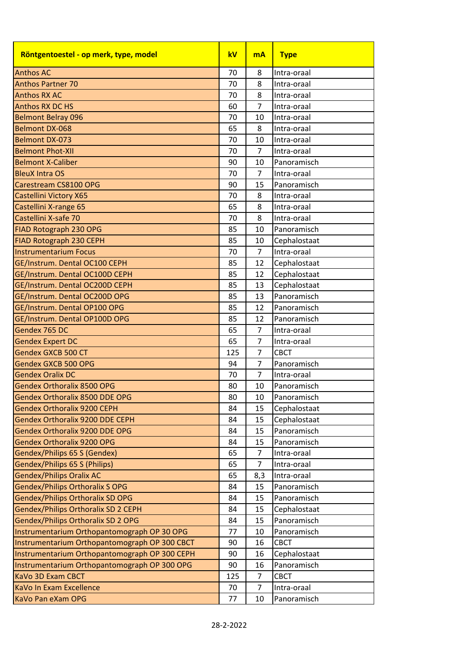| Röntgentoestel - op merk, type, model         | kV  | <b>mA</b>      | <b>Type</b>  |
|-----------------------------------------------|-----|----------------|--------------|
| <b>Anthos AC</b>                              | 70  | 8              | Intra-oraal  |
| <b>Anthos Partner 70</b>                      | 70  | 8              | Intra-oraal  |
| <b>Anthos RX AC</b>                           | 70  | 8              | Intra-oraal  |
| <b>Anthos RX DC HS</b>                        | 60  | $\overline{7}$ | Intra-oraal  |
| <b>Belmont Belray 096</b>                     | 70  | 10             | Intra-oraal  |
| <b>Belmont DX-068</b>                         | 65  | 8              | Intra-oraal  |
| <b>Belmont DX-073</b>                         | 70  | 10             | Intra-oraal  |
| <b>Belmont Phot-XII</b>                       | 70  | $\overline{7}$ | Intra-oraal  |
| <b>Belmont X-Caliber</b>                      | 90  | 10             | Panoramisch  |
| <b>BleuX Intra OS</b>                         | 70  | $\overline{7}$ | Intra-oraal  |
| Carestream CS8100 OPG                         | 90  | 15             | Panoramisch  |
| Castellini Victory X65                        | 70  | 8              | Intra-oraal  |
| Castellini X-range 65                         | 65  | 8              | Intra-oraal  |
| Castellini X-safe 70                          | 70  | 8              | Intra-oraal  |
| FIAD Rotograph 230 OPG                        | 85  | 10             | Panoramisch  |
| FIAD Rotograph 230 CEPH                       | 85  | 10             | Cephalostaat |
| <b>Instrumentarium Focus</b>                  | 70  | $\overline{7}$ | Intra-oraal  |
| GE/Instrum. Dental OC100 CEPH                 | 85  | 12             | Cephalostaat |
| GE/Instrum. Dental OC100D CEPH                | 85  | 12             | Cephalostaat |
| GE/Instrum. Dental OC200D CEPH                | 85  | 13             | Cephalostaat |
| GE/Instrum. Dental OC200D OPG                 | 85  | 13             | Panoramisch  |
| GE/Instrum. Dental OP100 OPG                  | 85  | 12             | Panoramisch  |
| GE/Instrum. Dental OP100D OPG                 | 85  | 12             | Panoramisch  |
| Gendex 765 DC                                 | 65  | 7              | Intra-oraal  |
| <b>Gendex Expert DC</b>                       | 65  | $\overline{7}$ | Intra-oraal  |
| <b>Gendex GXCB 500 CT</b>                     | 125 | 7              | <b>CBCT</b>  |
| <b>Gendex GXCB 500 OPG</b>                    | 94  | $\overline{7}$ | Panoramisch  |
| <b>Gendex Oralix DC</b>                       | 70  | $\overline{7}$ | Intra-oraal  |
| <b>Gendex Orthoralix 8500 OPG</b>             | 80  | 10             | Panoramisch  |
| Gendex Orthoralix 8500 DDE OPG                | 80  | 10             | Panoramisch  |
| <b>Gendex Orthoralix 9200 CEPH</b>            | 84  | 15             | Cephalostaat |
| Gendex Orthoralix 9200 DDE CEPH               | 84  | 15             | Cephalostaat |
| Gendex Orthoralix 9200 DDE OPG                | 84  | 15             | Panoramisch  |
| <b>Gendex Orthoralix 9200 OPG</b>             | 84  | 15             | Panoramisch  |
| Gendex/Philips 65 S (Gendex)                  | 65  | 7              | Intra-oraal  |
| Gendex/Philips 65 S (Philips)                 | 65  | 7              | Intra-oraal  |
| <b>Gendex/Philips Oralix AC</b>               | 65  | 8,3            | Intra-oraal  |
| <b>Gendex/Philips Orthoralix S OPG</b>        | 84  | 15             | Panoramisch  |
| <b>Gendex/Philips Orthoralix SD OPG</b>       | 84  | 15             | Panoramisch  |
| Gendex/Philips Orthoralix SD 2 CEPH           | 84  | 15             | Cephalostaat |
| Gendex/Philips Orthoralix SD 2 OPG            | 84  | 15             | Panoramisch  |
| Instrumentarium Orthopantomograph OP 30 OPG   | 77  | 10             | Panoramisch  |
| Instrumentarium Orthopantomograph OP 300 CBCT | 90  | 16             | <b>CBCT</b>  |
| Instrumentarium Orthopantomograph OP 300 CEPH | 90  | 16             | Cephalostaat |
| Instrumentarium Orthopantomograph OP 300 OPG  | 90  | 16             | Panoramisch  |
| KaVo 3D Exam CBCT                             | 125 | $\overline{7}$ | <b>CBCT</b>  |
| KaVo In Exam Excellence                       | 70  | 7              | Intra-oraal  |
| KaVo Pan eXam OPG                             | 77  | 10             | Panoramisch  |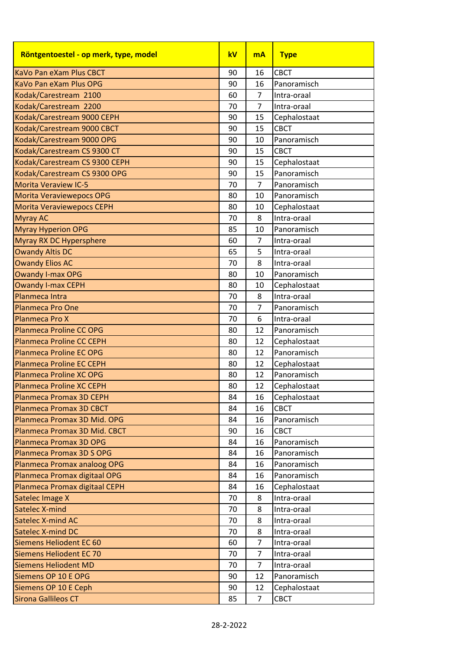| Röntgentoestel - op merk, type, model | kV | <b>mA</b>      | <b>Type</b>  |
|---------------------------------------|----|----------------|--------------|
| KaVo Pan eXam Plus CBCT               | 90 | 16             | <b>CBCT</b>  |
| KaVo Pan eXam Plus OPG                | 90 | 16             | Panoramisch  |
| Kodak/Carestream 2100                 | 60 | $\overline{7}$ | Intra-oraal  |
| Kodak/Carestream 2200                 | 70 | $\overline{7}$ | Intra-oraal  |
| Kodak/Carestream 9000 CEPH            | 90 | 15             | Cephalostaat |
| Kodak/Carestream 9000 CBCT            | 90 | 15             | <b>CBCT</b>  |
| Kodak/Carestream 9000 OPG             | 90 | 10             | Panoramisch  |
| Kodak/Carestream CS 9300 CT           | 90 | 15             | <b>CBCT</b>  |
| Kodak/Carestream CS 9300 CEPH         | 90 | 15             | Cephalostaat |
| Kodak/Carestream CS 9300 OPG          | 90 | 15             | Panoramisch  |
| <b>Morita Veraview IC-5</b>           | 70 | $\overline{7}$ | Panoramisch  |
| <b>Morita Veraviewepocs OPG</b>       | 80 | 10             | Panoramisch  |
| <b>Morita Veraviewepocs CEPH</b>      | 80 | 10             | Cephalostaat |
| <b>Myray AC</b>                       | 70 | 8              | Intra-oraal  |
| <b>Myray Hyperion OPG</b>             | 85 | 10             | Panoramisch  |
| Myray RX DC Hypersphere               | 60 | $\overline{7}$ | Intra-oraal  |
| <b>Owandy Altis DC</b>                | 65 | 5              | Intra-oraal  |
| <b>Owandy Elios AC</b>                | 70 | 8              | Intra-oraal  |
| <b>Owandy I-max OPG</b>               | 80 | 10             | Panoramisch  |
| <b>Owandy I-max CEPH</b>              | 80 | 10             | Cephalostaat |
| Planmeca Intra                        | 70 | 8              | Intra-oraal  |
| <b>Planmeca Pro One</b>               | 70 | $\overline{7}$ | Panoramisch  |
| Planmeca Pro X                        | 70 | 6              | Intra-oraal  |
| <b>Planmeca Proline CC OPG</b>        | 80 | 12             | Panoramisch  |
| <b>Planmeca Proline CC CEPH</b>       | 80 | 12             | Cephalostaat |
| <b>Planmeca Proline EC OPG</b>        | 80 | 12             | Panoramisch  |
| <b>Planmeca Proline EC CEPH</b>       | 80 | 12             | Cephalostaat |
| <b>Planmeca Proline XC OPG</b>        | 80 | 12             | Panoramisch  |
| <b>Planmeca Proline XC CEPH</b>       | 80 | 12             | Cephalostaat |
| Planmeca Promax 3D CEPH               | 84 | 16             | Cephalostaat |
| <b>Planmeca Promax 3D CBCT</b>        | 84 | 16             | <b>CBCT</b>  |
| Planmeca Promax 3D Mid. OPG           | 84 | 16             | Panoramisch  |
| Planmeca Promax 3D Mid. CBCT          | 90 | 16             | <b>CBCT</b>  |
| Planmeca Promax 3D OPG                | 84 | 16             | Panoramisch  |
| Planmeca Promax 3D S OPG              | 84 | 16             | Panoramisch  |
| Planmeca Promax analoog OPG           | 84 | 16             | Panoramisch  |
| Planmeca Promax digitaal OPG          | 84 | 16             | Panoramisch  |
| Planmeca Promax digitaal CEPH         | 84 | 16             | Cephalostaat |
| Satelec Image X                       | 70 | 8              | Intra-oraal  |
| Satelec X-mind                        | 70 | 8              | Intra-oraal  |
| Satelec X-mind AC                     | 70 | 8              | Intra-oraal  |
| Satelec X-mind DC                     | 70 | 8              | Intra-oraal  |
| Siemens Heliodent EC 60               | 60 | $\overline{7}$ | Intra-oraal  |
| Siemens Heliodent EC 70               | 70 | $\overline{7}$ | Intra-oraal  |
| <b>Siemens Heliodent MD</b>           | 70 | 7              | Intra-oraal  |
| Siemens OP 10 E OPG                   | 90 | 12             | Panoramisch  |
| Siemens OP 10 E Ceph                  | 90 | 12             | Cephalostaat |
| <b>Sirona Gallileos CT</b>            | 85 | $\overline{7}$ | CBCT         |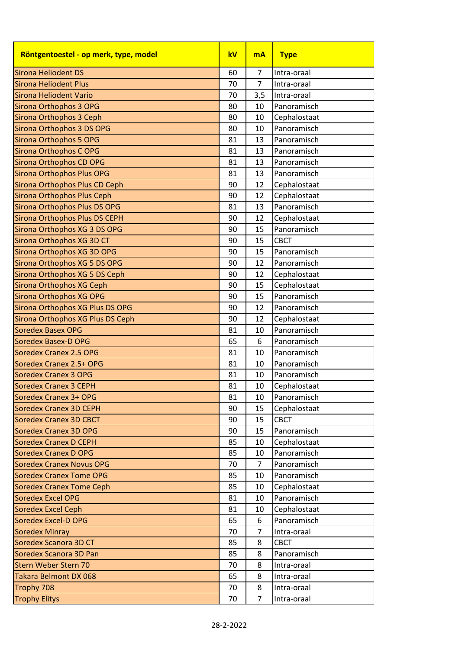| Röntgentoestel - op merk, type, model | kV | <b>mA</b>      | <b>Type</b>  |
|---------------------------------------|----|----------------|--------------|
| <b>Sirona Heliodent DS</b>            | 60 | $\overline{7}$ | Intra-oraal  |
| <b>Sirona Heliodent Plus</b>          | 70 | $\overline{7}$ | Intra-oraal  |
| Sirona Heliodent Vario                | 70 | 3,5            | Intra-oraal  |
| Sirona Orthophos 3 OPG                | 80 | 10             | Panoramisch  |
| <b>Sirona Orthophos 3 Ceph</b>        | 80 | 10             | Cephalostaat |
| Sirona Orthophos 3 DS OPG             | 80 | 10             | Panoramisch  |
| <b>Sirona Orthophos 5 OPG</b>         | 81 | 13             | Panoramisch  |
| Sirona Orthophos COPG                 | 81 | 13             | Panoramisch  |
| Sirona Orthophos CD OPG               | 81 | 13             | Panoramisch  |
| Sirona Orthophos Plus OPG             | 81 | 13             | Panoramisch  |
| Sirona Orthophos Plus CD Ceph         | 90 | 12             | Cephalostaat |
| <b>Sirona Orthophos Plus Ceph</b>     | 90 | 12             | Cephalostaat |
| Sirona Orthophos Plus DS OPG          | 81 | 13             | Panoramisch  |
| <b>Sirona Orthophos Plus DS CEPH</b>  | 90 | 12             | Cephalostaat |
| Sirona Orthophos XG 3 DS OPG          | 90 | 15             | Panoramisch  |
| Sirona Orthophos XG 3D CT             | 90 | 15             | <b>CBCT</b>  |
| Sirona Orthophos XG 3D OPG            | 90 | 15             | Panoramisch  |
| Sirona Orthophos XG 5 DS OPG          | 90 | 12             | Panoramisch  |
| Sirona Orthophos XG 5 DS Ceph         | 90 | 12             | Cephalostaat |
| Sirona Orthophos XG Ceph              | 90 | 15             | Cephalostaat |
| Sirona Orthophos XG OPG               | 90 | 15             | Panoramisch  |
| Sirona Orthophos XG Plus DS OPG       | 90 | 12             | Panoramisch  |
| Sirona Orthophos XG Plus DS Ceph      | 90 | 12             | Cephalostaat |
| <b>Soredex Basex OPG</b>              | 81 | 10             | Panoramisch  |
| <b>Soredex Basex-D OPG</b>            | 65 | 6              | Panoramisch  |
| <b>Soredex Cranex 2.5 OPG</b>         | 81 | 10             | Panoramisch  |
| Soredex Cranex 2.5+ OPG               | 81 | 10             | Panoramisch  |
| <b>Soredex Cranex 3 OPG</b>           | 81 | 10             | Panoramisch  |
| <b>Soredex Cranex 3 CEPH</b>          | 81 | 10             | Cephalostaat |
| Soredex Cranex 3+ OPG                 | 81 | 10             | Panoramisch  |
| <b>Soredex Cranex 3D CEPH</b>         | 90 | 15             | Cephalostaat |
| <b>Soredex Cranex 3D CBCT</b>         | 90 | 15             | <b>CBCT</b>  |
| <b>Soredex Cranex 3D OPG</b>          | 90 | 15             | Panoramisch  |
| <b>Soredex Cranex D CEPH</b>          | 85 | 10             | Cephalostaat |
| <b>Soredex Cranex D OPG</b>           | 85 | 10             | Panoramisch  |
| <b>Soredex Cranex Novus OPG</b>       | 70 | $\overline{7}$ | Panoramisch  |
| <b>Soredex Cranex Tome OPG</b>        | 85 | 10             | Panoramisch  |
| <b>Soredex Cranex Tome Ceph</b>       | 85 | 10             | Cephalostaat |
| <b>Soredex Excel OPG</b>              | 81 | 10             | Panoramisch  |
| <b>Soredex Excel Ceph</b>             | 81 | 10             | Cephalostaat |
| <b>Soredex Excel-D OPG</b>            | 65 | 6              | Panoramisch  |
| <b>Soredex Minray</b>                 | 70 | $\overline{7}$ | Intra-oraal  |
| Soredex Scanora 3D CT                 | 85 | 8              | <b>CBCT</b>  |
| Soredex Scanora 3D Pan                | 85 | 8              | Panoramisch  |
| <b>Stern Weber Stern 70</b>           | 70 | 8              | Intra-oraal  |
| Takara Belmont DX 068                 | 65 | 8              | Intra-oraal  |
| Trophy 708                            | 70 | 8              | Intra-oraal  |
| <b>Trophy Elitys</b>                  | 70 | $\overline{7}$ | Intra-oraal  |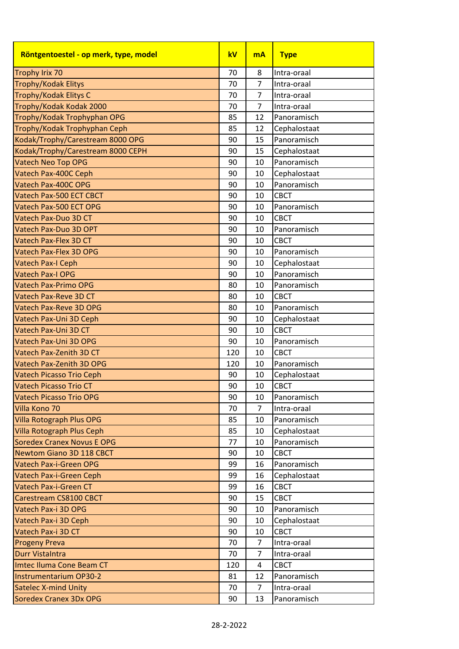| Röntgentoestel - op merk, type, model | kV  | <b>mA</b>      | <b>Type</b>  |
|---------------------------------------|-----|----------------|--------------|
| <b>Trophy Irix 70</b>                 | 70  | 8              | Intra-oraal  |
| <b>Trophy/Kodak Elitys</b>            | 70  | $\overline{7}$ | Intra-oraal  |
| Trophy/Kodak Elitys C                 | 70  | $\overline{7}$ | Intra-oraal  |
| Trophy/Kodak Kodak 2000               | 70  | $\overline{7}$ | Intra-oraal  |
| Trophy/Kodak Trophyphan OPG           | 85  | 12             | Panoramisch  |
| Trophy/Kodak Trophyphan Ceph          | 85  | 12             | Cephalostaat |
| Kodak/Trophy/Carestream 8000 OPG      | 90  | 15             | Panoramisch  |
| Kodak/Trophy/Carestream 8000 CEPH     | 90  | 15             | Cephalostaat |
| <b>Vatech Neo Top OPG</b>             | 90  | 10             | Panoramisch  |
| Vatech Pax-400C Ceph                  | 90  | 10             | Cephalostaat |
| Vatech Pax-400C OPG                   | 90  | 10             | Panoramisch  |
| Vatech Pax-500 ECT CBCT               | 90  | 10             | <b>CBCT</b>  |
| Vatech Pax-500 ECT OPG                | 90  | 10             | Panoramisch  |
| Vatech Pax-Duo 3D CT                  | 90  | 10             | <b>CBCT</b>  |
| Vatech Pax-Duo 3D OPT                 | 90  | 10             | Panoramisch  |
| Vatech Pax-Flex 3D CT                 | 90  | 10             | <b>CBCT</b>  |
| Vatech Pax-Flex 3D OPG                | 90  | 10             | Panoramisch  |
| Vatech Pax-I Ceph                     | 90  | 10             | Cephalostaat |
| <b>Vatech Pax-I OPG</b>               | 90  | 10             | Panoramisch  |
| Vatech Pax-Primo OPG                  | 80  | 10             | Panoramisch  |
| Vatech Pax-Reve 3D CT                 | 80  | 10             | <b>CBCT</b>  |
| Vatech Pax-Reve 3D OPG                | 80  | 10             | Panoramisch  |
| Vatech Pax-Uni 3D Ceph                | 90  | 10             | Cephalostaat |
| Vatech Pax-Uni 3D CT                  | 90  | 10             | <b>CBCT</b>  |
| Vatech Pax-Uni 3D OPG                 | 90  | 10             | Panoramisch  |
| Vatech Pax-Zenith 3D CT               | 120 | 10             | <b>CBCT</b>  |
| Vatech Pax-Zenith 3D OPG              | 120 | 10             | Panoramisch  |
| <b>Vatech Picasso Trio Ceph</b>       | 90  | 10             | Cephalostaat |
| Vatech Picasso Trio CT                | 90  | 10             | <b>CBCT</b>  |
| <b>Vatech Picasso Trio OPG</b>        | 90  | 10             | Panoramisch  |
| Villa Kono 70                         | 70  | $\overline{7}$ | Intra-oraal  |
| Villa Rotograph Plus OPG              | 85  | 10             | Panoramisch  |
| <b>Villa Rotograph Plus Ceph</b>      | 85  | 10             | Cephalostaat |
| <b>Soredex Cranex Novus E OPG</b>     | 77  | 10             | Panoramisch  |
| Newtom Giano 3D 118 CBCT              | 90  | 10             | <b>CBCT</b>  |
| Vatech Pax-i-Green OPG                | 99  | 16             | Panoramisch  |
| Vatech Pax-i-Green Ceph               | 99  | 16             | Cephalostaat |
| Vatech Pax-i-Green CT                 | 99  | 16             | <b>CBCT</b>  |
| Carestream CS8100 CBCT                | 90  | 15             | <b>CBCT</b>  |
| Vatech Pax-i 3D OPG                   | 90  | 10             | Panoramisch  |
| Vatech Pax-i 3D Ceph                  | 90  | 10             | Cephalostaat |
| Vatech Pax-i 3D CT                    | 90  | 10             | <b>CBCT</b>  |
| <b>Progeny Preva</b>                  | 70  | $\overline{7}$ | Intra-oraal  |
| Durr Vistalntra                       | 70  | $\overline{7}$ | Intra-oraal  |
| Imtec Iluma Cone Beam CT              | 120 | 4              | <b>CBCT</b>  |
| <b>Instrumentarium OP30-2</b>         | 81  | 12             | Panoramisch  |
| <b>Satelec X-mind Unity</b>           | 70  | 7              | Intra-oraal  |
| Soredex Cranex 3Dx OPG                | 90  | 13             | Panoramisch  |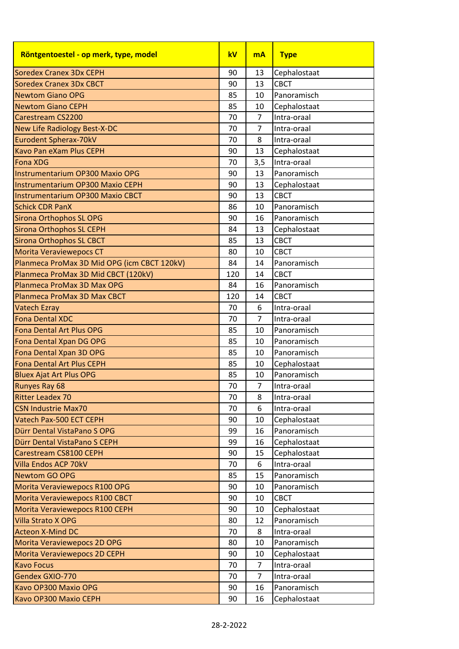| Röntgentoestel - op merk, type, model       | kV  | <b>mA</b>      | <b>Type</b>  |
|---------------------------------------------|-----|----------------|--------------|
| <b>Soredex Cranex 3Dx CEPH</b>              | 90  | 13             | Cephalostaat |
| <b>Soredex Cranex 3Dx CBCT</b>              | 90  | 13             | <b>CBCT</b>  |
| <b>Newtom Giano OPG</b>                     | 85  | 10             | Panoramisch  |
| <b>Newtom Giano CEPH</b>                    | 85  | 10             | Cephalostaat |
| Carestream CS2200                           | 70  | $\overline{7}$ | Intra-oraal  |
| <b>New Life Radiology Best-X-DC</b>         | 70  | $\overline{7}$ | Intra-oraal  |
| Eurodent Spherax-70kV                       | 70  | 8              | Intra-oraal  |
| <b>Kavo Pan eXam Plus CEPH</b>              | 90  | 13             | Cephalostaat |
| <b>Fona XDG</b>                             | 70  | 3,5            | Intra-oraal  |
| <b>Instrumentarium OP300 Maxio OPG</b>      | 90  | 13             | Panoramisch  |
| <b>Instrumentarium OP300 Maxio CEPH</b>     | 90  | 13             | Cephalostaat |
| <b>Instrumentarium OP300 Maxio CBCT</b>     | 90  | 13             | <b>CBCT</b>  |
| <b>Schick CDR PanX</b>                      | 86  | 10             | Panoramisch  |
| <b>Sirona Orthophos SL OPG</b>              | 90  | 16             | Panoramisch  |
| <b>Sirona Orthophos SL CEPH</b>             | 84  | 13             | Cephalostaat |
| <b>Sirona Orthophos SL CBCT</b>             | 85  | 13             | <b>CBCT</b>  |
| <b>Morita Veraviewepocs CT</b>              | 80  | 10             | CBCT         |
| Planmeca ProMax 3D Mid OPG (icm CBCT 120kV) | 84  | 14             | Panoramisch  |
| Planmeca ProMax 3D Mid CBCT (120kV)         | 120 | 14             | <b>CBCT</b>  |
| Planmeca ProMax 3D Max OPG                  | 84  | 16             | Panoramisch  |
| Planmeca ProMax 3D Max CBCT                 | 120 | 14             | <b>CBCT</b>  |
| <b>Vatech Ezray</b>                         | 70  | 6              | Intra-oraal  |
| <b>Fona Dental XDC</b>                      | 70  | $\overline{7}$ | Intra-oraal  |
| <b>Fona Dental Art Plus OPG</b>             | 85  | 10             | Panoramisch  |
| Fona Dental Xpan DG OPG                     | 85  | 10             | Panoramisch  |
| Fona Dental Xpan 3D OPG                     | 85  | 10             | Panoramisch  |
| <b>Fona Dental Art Plus CEPH</b>            | 85  | 10             | Cephalostaat |
| <b>Bluex Ajat Art Plus OPG</b>              | 85  | 10             | Panoramisch  |
| <b>Runyes Ray 68</b>                        | 70  | $\overline{7}$ | Intra-oraal  |
| <b>Ritter Leadex 70</b>                     | 70  | 8              | Intra-oraal  |
| <b>CSN Industrie Max70</b>                  | 70  | 6              | Intra-oraal  |
| Vatech Pax-500 ECT CEPH                     | 90  | 10             | Cephalostaat |
| Dürr Dental VistaPano S OPG                 | 99  | 16             | Panoramisch  |
| Dürr Dental VistaPano S CEPH                | 99  | 16             | Cephalostaat |
| Carestream CS8100 CEPH                      | 90  | 15             | Cephalostaat |
| Villa Endos ACP 70kV                        | 70  | 6              | Intra-oraal  |
| <b>Newtom GO OPG</b>                        | 85  | 15             | Panoramisch  |
| Morita Veraviewepocs R100 OPG               | 90  | 10             | Panoramisch  |
| Morita Veraviewepocs R100 CBCT              | 90  | 10             | <b>CBCT</b>  |
| Morita Veraviewepocs R100 CEPH              | 90  | 10             | Cephalostaat |
| Villa Strato X OPG                          | 80  | 12             | Panoramisch  |
| <b>Acteon X-Mind DC</b>                     | 70  | 8              | Intra-oraal  |
| Morita Veraviewepocs 2D OPG                 | 80  | 10             | Panoramisch  |
| Morita Veraviewepocs 2D CEPH                | 90  | 10             | Cephalostaat |
| <b>Kavo Focus</b>                           | 70  | 7              | Intra-oraal  |
| Gendex GXIO-770                             | 70  | $\overline{7}$ | Intra-oraal  |
| Kavo OP300 Maxio OPG                        | 90  | 16             | Panoramisch  |
| Kavo OP300 Maxio CEPH                       | 90  | 16             | Cephalostaat |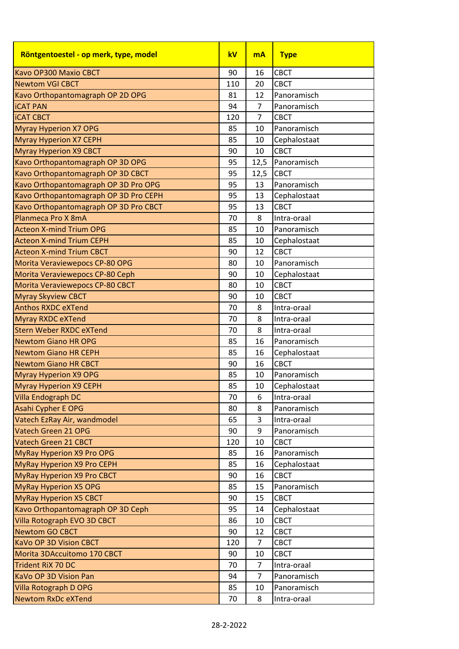| <b>CBCT</b><br>Kavo OP300 Maxio CBCT<br>90<br>16<br><b>Newtom VGI CBCT</b><br><b>CBCT</b><br>110<br>20<br>81<br>Kavo Orthopantomagraph OP 2D OPG<br>12<br>Panoramisch<br>94<br>$\overline{7}$<br><b>iCAT PAN</b><br>Panoramisch<br>$\overline{7}$<br>120<br><b>CBCT</b><br>85<br>10<br>Panoramisch<br>Cephalostaat<br>85<br>10<br><b>Myray Hyperion X9 CBCT</b><br>90<br>10<br><b>CBCT</b><br>95<br>Panoramisch<br>12,5<br>95<br>12,5<br><b>CBCT</b><br>Kavo Orthopantomagraph OP 3D Pro OPG<br>95<br>Panoramisch<br>13<br>Kavo Orthopantomagraph OP 3D Pro CEPH<br>95<br>Cephalostaat<br>13<br>Kavo Orthopantomagraph OP 3D Pro CBCT<br>95<br><b>CBCT</b><br>13<br>Planmeca Pro X 8mA<br>70<br>8<br>Intra-oraal<br>85<br>10<br>Panoramisch<br><b>Acteon X-mind Trium CEPH</b><br>85<br>Cephalostaat<br>10<br><b>CBCT</b><br>90<br>12<br>80<br>Panoramisch<br>Morita Veraviewepocs CP-80 OPG<br>10<br>Morita Veraviewepocs CP-80 Ceph<br>90<br>Cephalostaat<br>10<br><b>CBCT</b><br>Morita Veraviewepocs CP-80 CBCT<br>80<br>10<br><b>CBCT</b><br><b>Myray Skyview CBCT</b><br>90<br>10<br>70<br>8<br>Intra-oraal<br>70<br>8<br>Intra-oraal<br>8<br>70<br>Intra-oraal<br><b>Newtom Giano HR OPG</b><br>85<br>16<br>Panoramisch<br>Cephalostaat<br>85<br>16<br><b>CBCT</b><br>90<br>16<br>85<br>Panoramisch<br>10<br>85<br>10<br>Cephalostaat<br>70<br>6<br>Intra-oraal<br>8<br>Panoramisch<br>80<br>3<br>Intra-oraal<br>65<br>Panoramisch<br>9<br>90<br><b>CBCT</b><br>120<br>10<br>85<br>Panoramisch<br>16<br>85<br>Cephalostaat<br>16<br><b>CBCT</b><br>90<br>16<br>Panoramisch<br>85<br>15<br><b>CBCT</b><br>90<br>15<br>95<br>Cephalostaat<br>14<br>86<br><b>CBCT</b><br>10<br><b>CBCT</b><br>90<br>12<br>120<br>$\overline{7}$<br><b>CBCT</b><br>90<br>10<br><b>CBCT</b><br>70<br>7<br>Intra-oraal<br>$\overline{7}$<br>Panoramisch<br>94<br>85<br>10<br>Panoramisch<br>70<br>8<br>Intra-oraal | Röntgentoestel - op merk, type, model | kV | <b>mA</b> | <b>Type</b> |
|-----------------------------------------------------------------------------------------------------------------------------------------------------------------------------------------------------------------------------------------------------------------------------------------------------------------------------------------------------------------------------------------------------------------------------------------------------------------------------------------------------------------------------------------------------------------------------------------------------------------------------------------------------------------------------------------------------------------------------------------------------------------------------------------------------------------------------------------------------------------------------------------------------------------------------------------------------------------------------------------------------------------------------------------------------------------------------------------------------------------------------------------------------------------------------------------------------------------------------------------------------------------------------------------------------------------------------------------------------------------------------------------------------------------------------------------------------------------------------------------------------------------------------------------------------------------------------------------------------------------------------------------------------------------------------------------------------------------------------------------------------------------------------------------------------------------------------------------------------------------------------------------------------|---------------------------------------|----|-----------|-------------|
|                                                                                                                                                                                                                                                                                                                                                                                                                                                                                                                                                                                                                                                                                                                                                                                                                                                                                                                                                                                                                                                                                                                                                                                                                                                                                                                                                                                                                                                                                                                                                                                                                                                                                                                                                                                                                                                                                                     |                                       |    |           |             |
|                                                                                                                                                                                                                                                                                                                                                                                                                                                                                                                                                                                                                                                                                                                                                                                                                                                                                                                                                                                                                                                                                                                                                                                                                                                                                                                                                                                                                                                                                                                                                                                                                                                                                                                                                                                                                                                                                                     |                                       |    |           |             |
|                                                                                                                                                                                                                                                                                                                                                                                                                                                                                                                                                                                                                                                                                                                                                                                                                                                                                                                                                                                                                                                                                                                                                                                                                                                                                                                                                                                                                                                                                                                                                                                                                                                                                                                                                                                                                                                                                                     |                                       |    |           |             |
|                                                                                                                                                                                                                                                                                                                                                                                                                                                                                                                                                                                                                                                                                                                                                                                                                                                                                                                                                                                                                                                                                                                                                                                                                                                                                                                                                                                                                                                                                                                                                                                                                                                                                                                                                                                                                                                                                                     |                                       |    |           |             |
|                                                                                                                                                                                                                                                                                                                                                                                                                                                                                                                                                                                                                                                                                                                                                                                                                                                                                                                                                                                                                                                                                                                                                                                                                                                                                                                                                                                                                                                                                                                                                                                                                                                                                                                                                                                                                                                                                                     | <b>ICAT CBCT</b>                      |    |           |             |
|                                                                                                                                                                                                                                                                                                                                                                                                                                                                                                                                                                                                                                                                                                                                                                                                                                                                                                                                                                                                                                                                                                                                                                                                                                                                                                                                                                                                                                                                                                                                                                                                                                                                                                                                                                                                                                                                                                     | <b>Myray Hyperion X7 OPG</b>          |    |           |             |
|                                                                                                                                                                                                                                                                                                                                                                                                                                                                                                                                                                                                                                                                                                                                                                                                                                                                                                                                                                                                                                                                                                                                                                                                                                                                                                                                                                                                                                                                                                                                                                                                                                                                                                                                                                                                                                                                                                     | <b>Myray Hyperion X7 CEPH</b>         |    |           |             |
|                                                                                                                                                                                                                                                                                                                                                                                                                                                                                                                                                                                                                                                                                                                                                                                                                                                                                                                                                                                                                                                                                                                                                                                                                                                                                                                                                                                                                                                                                                                                                                                                                                                                                                                                                                                                                                                                                                     |                                       |    |           |             |
|                                                                                                                                                                                                                                                                                                                                                                                                                                                                                                                                                                                                                                                                                                                                                                                                                                                                                                                                                                                                                                                                                                                                                                                                                                                                                                                                                                                                                                                                                                                                                                                                                                                                                                                                                                                                                                                                                                     | Kavo Orthopantomagraph OP 3D OPG      |    |           |             |
|                                                                                                                                                                                                                                                                                                                                                                                                                                                                                                                                                                                                                                                                                                                                                                                                                                                                                                                                                                                                                                                                                                                                                                                                                                                                                                                                                                                                                                                                                                                                                                                                                                                                                                                                                                                                                                                                                                     | Kavo Orthopantomagraph OP 3D CBCT     |    |           |             |
|                                                                                                                                                                                                                                                                                                                                                                                                                                                                                                                                                                                                                                                                                                                                                                                                                                                                                                                                                                                                                                                                                                                                                                                                                                                                                                                                                                                                                                                                                                                                                                                                                                                                                                                                                                                                                                                                                                     |                                       |    |           |             |
|                                                                                                                                                                                                                                                                                                                                                                                                                                                                                                                                                                                                                                                                                                                                                                                                                                                                                                                                                                                                                                                                                                                                                                                                                                                                                                                                                                                                                                                                                                                                                                                                                                                                                                                                                                                                                                                                                                     |                                       |    |           |             |
|                                                                                                                                                                                                                                                                                                                                                                                                                                                                                                                                                                                                                                                                                                                                                                                                                                                                                                                                                                                                                                                                                                                                                                                                                                                                                                                                                                                                                                                                                                                                                                                                                                                                                                                                                                                                                                                                                                     |                                       |    |           |             |
|                                                                                                                                                                                                                                                                                                                                                                                                                                                                                                                                                                                                                                                                                                                                                                                                                                                                                                                                                                                                                                                                                                                                                                                                                                                                                                                                                                                                                                                                                                                                                                                                                                                                                                                                                                                                                                                                                                     |                                       |    |           |             |
|                                                                                                                                                                                                                                                                                                                                                                                                                                                                                                                                                                                                                                                                                                                                                                                                                                                                                                                                                                                                                                                                                                                                                                                                                                                                                                                                                                                                                                                                                                                                                                                                                                                                                                                                                                                                                                                                                                     | <b>Acteon X-mind Trium OPG</b>        |    |           |             |
|                                                                                                                                                                                                                                                                                                                                                                                                                                                                                                                                                                                                                                                                                                                                                                                                                                                                                                                                                                                                                                                                                                                                                                                                                                                                                                                                                                                                                                                                                                                                                                                                                                                                                                                                                                                                                                                                                                     |                                       |    |           |             |
|                                                                                                                                                                                                                                                                                                                                                                                                                                                                                                                                                                                                                                                                                                                                                                                                                                                                                                                                                                                                                                                                                                                                                                                                                                                                                                                                                                                                                                                                                                                                                                                                                                                                                                                                                                                                                                                                                                     | <b>Acteon X-mind Trium CBCT</b>       |    |           |             |
|                                                                                                                                                                                                                                                                                                                                                                                                                                                                                                                                                                                                                                                                                                                                                                                                                                                                                                                                                                                                                                                                                                                                                                                                                                                                                                                                                                                                                                                                                                                                                                                                                                                                                                                                                                                                                                                                                                     |                                       |    |           |             |
|                                                                                                                                                                                                                                                                                                                                                                                                                                                                                                                                                                                                                                                                                                                                                                                                                                                                                                                                                                                                                                                                                                                                                                                                                                                                                                                                                                                                                                                                                                                                                                                                                                                                                                                                                                                                                                                                                                     |                                       |    |           |             |
|                                                                                                                                                                                                                                                                                                                                                                                                                                                                                                                                                                                                                                                                                                                                                                                                                                                                                                                                                                                                                                                                                                                                                                                                                                                                                                                                                                                                                                                                                                                                                                                                                                                                                                                                                                                                                                                                                                     |                                       |    |           |             |
|                                                                                                                                                                                                                                                                                                                                                                                                                                                                                                                                                                                                                                                                                                                                                                                                                                                                                                                                                                                                                                                                                                                                                                                                                                                                                                                                                                                                                                                                                                                                                                                                                                                                                                                                                                                                                                                                                                     |                                       |    |           |             |
|                                                                                                                                                                                                                                                                                                                                                                                                                                                                                                                                                                                                                                                                                                                                                                                                                                                                                                                                                                                                                                                                                                                                                                                                                                                                                                                                                                                                                                                                                                                                                                                                                                                                                                                                                                                                                                                                                                     | <b>Anthos RXDC eXTend</b>             |    |           |             |
|                                                                                                                                                                                                                                                                                                                                                                                                                                                                                                                                                                                                                                                                                                                                                                                                                                                                                                                                                                                                                                                                                                                                                                                                                                                                                                                                                                                                                                                                                                                                                                                                                                                                                                                                                                                                                                                                                                     | <b>Myray RXDC eXTend</b>              |    |           |             |
|                                                                                                                                                                                                                                                                                                                                                                                                                                                                                                                                                                                                                                                                                                                                                                                                                                                                                                                                                                                                                                                                                                                                                                                                                                                                                                                                                                                                                                                                                                                                                                                                                                                                                                                                                                                                                                                                                                     | <b>Stern Weber RXDC eXTend</b>        |    |           |             |
|                                                                                                                                                                                                                                                                                                                                                                                                                                                                                                                                                                                                                                                                                                                                                                                                                                                                                                                                                                                                                                                                                                                                                                                                                                                                                                                                                                                                                                                                                                                                                                                                                                                                                                                                                                                                                                                                                                     |                                       |    |           |             |
|                                                                                                                                                                                                                                                                                                                                                                                                                                                                                                                                                                                                                                                                                                                                                                                                                                                                                                                                                                                                                                                                                                                                                                                                                                                                                                                                                                                                                                                                                                                                                                                                                                                                                                                                                                                                                                                                                                     | <b>Newtom Giano HR CEPH</b>           |    |           |             |
|                                                                                                                                                                                                                                                                                                                                                                                                                                                                                                                                                                                                                                                                                                                                                                                                                                                                                                                                                                                                                                                                                                                                                                                                                                                                                                                                                                                                                                                                                                                                                                                                                                                                                                                                                                                                                                                                                                     | <b>Newtom Giano HR CBCT</b>           |    |           |             |
|                                                                                                                                                                                                                                                                                                                                                                                                                                                                                                                                                                                                                                                                                                                                                                                                                                                                                                                                                                                                                                                                                                                                                                                                                                                                                                                                                                                                                                                                                                                                                                                                                                                                                                                                                                                                                                                                                                     | <b>Myray Hyperion X9 OPG</b>          |    |           |             |
|                                                                                                                                                                                                                                                                                                                                                                                                                                                                                                                                                                                                                                                                                                                                                                                                                                                                                                                                                                                                                                                                                                                                                                                                                                                                                                                                                                                                                                                                                                                                                                                                                                                                                                                                                                                                                                                                                                     | <b>Myray Hyperion X9 CEPH</b>         |    |           |             |
|                                                                                                                                                                                                                                                                                                                                                                                                                                                                                                                                                                                                                                                                                                                                                                                                                                                                                                                                                                                                                                                                                                                                                                                                                                                                                                                                                                                                                                                                                                                                                                                                                                                                                                                                                                                                                                                                                                     | Villa Endograph DC                    |    |           |             |
|                                                                                                                                                                                                                                                                                                                                                                                                                                                                                                                                                                                                                                                                                                                                                                                                                                                                                                                                                                                                                                                                                                                                                                                                                                                                                                                                                                                                                                                                                                                                                                                                                                                                                                                                                                                                                                                                                                     | <b>Asahi Cypher E OPG</b>             |    |           |             |
|                                                                                                                                                                                                                                                                                                                                                                                                                                                                                                                                                                                                                                                                                                                                                                                                                                                                                                                                                                                                                                                                                                                                                                                                                                                                                                                                                                                                                                                                                                                                                                                                                                                                                                                                                                                                                                                                                                     | Vatech EzRay Air, wandmodel           |    |           |             |
|                                                                                                                                                                                                                                                                                                                                                                                                                                                                                                                                                                                                                                                                                                                                                                                                                                                                                                                                                                                                                                                                                                                                                                                                                                                                                                                                                                                                                                                                                                                                                                                                                                                                                                                                                                                                                                                                                                     | Vatech Green 21 OPG                   |    |           |             |
|                                                                                                                                                                                                                                                                                                                                                                                                                                                                                                                                                                                                                                                                                                                                                                                                                                                                                                                                                                                                                                                                                                                                                                                                                                                                                                                                                                                                                                                                                                                                                                                                                                                                                                                                                                                                                                                                                                     | Vatech Green 21 CBCT                  |    |           |             |
|                                                                                                                                                                                                                                                                                                                                                                                                                                                                                                                                                                                                                                                                                                                                                                                                                                                                                                                                                                                                                                                                                                                                                                                                                                                                                                                                                                                                                                                                                                                                                                                                                                                                                                                                                                                                                                                                                                     | MyRay Hyperion X9 Pro OPG             |    |           |             |
|                                                                                                                                                                                                                                                                                                                                                                                                                                                                                                                                                                                                                                                                                                                                                                                                                                                                                                                                                                                                                                                                                                                                                                                                                                                                                                                                                                                                                                                                                                                                                                                                                                                                                                                                                                                                                                                                                                     | MyRay Hyperion X9 Pro CEPH            |    |           |             |
|                                                                                                                                                                                                                                                                                                                                                                                                                                                                                                                                                                                                                                                                                                                                                                                                                                                                                                                                                                                                                                                                                                                                                                                                                                                                                                                                                                                                                                                                                                                                                                                                                                                                                                                                                                                                                                                                                                     | MyRay Hyperion X9 Pro CBCT            |    |           |             |
|                                                                                                                                                                                                                                                                                                                                                                                                                                                                                                                                                                                                                                                                                                                                                                                                                                                                                                                                                                                                                                                                                                                                                                                                                                                                                                                                                                                                                                                                                                                                                                                                                                                                                                                                                                                                                                                                                                     | <b>MyRay Hyperion X5 OPG</b>          |    |           |             |
|                                                                                                                                                                                                                                                                                                                                                                                                                                                                                                                                                                                                                                                                                                                                                                                                                                                                                                                                                                                                                                                                                                                                                                                                                                                                                                                                                                                                                                                                                                                                                                                                                                                                                                                                                                                                                                                                                                     | <b>MyRay Hyperion X5 CBCT</b>         |    |           |             |
|                                                                                                                                                                                                                                                                                                                                                                                                                                                                                                                                                                                                                                                                                                                                                                                                                                                                                                                                                                                                                                                                                                                                                                                                                                                                                                                                                                                                                                                                                                                                                                                                                                                                                                                                                                                                                                                                                                     | Kavo Orthopantomagraph OP 3D Ceph     |    |           |             |
|                                                                                                                                                                                                                                                                                                                                                                                                                                                                                                                                                                                                                                                                                                                                                                                                                                                                                                                                                                                                                                                                                                                                                                                                                                                                                                                                                                                                                                                                                                                                                                                                                                                                                                                                                                                                                                                                                                     | Villa Rotograph EVO 3D CBCT           |    |           |             |
|                                                                                                                                                                                                                                                                                                                                                                                                                                                                                                                                                                                                                                                                                                                                                                                                                                                                                                                                                                                                                                                                                                                                                                                                                                                                                                                                                                                                                                                                                                                                                                                                                                                                                                                                                                                                                                                                                                     | <b>Newtom GO CBCT</b>                 |    |           |             |
|                                                                                                                                                                                                                                                                                                                                                                                                                                                                                                                                                                                                                                                                                                                                                                                                                                                                                                                                                                                                                                                                                                                                                                                                                                                                                                                                                                                                                                                                                                                                                                                                                                                                                                                                                                                                                                                                                                     | <b>KaVo OP 3D Vision CBCT</b>         |    |           |             |
|                                                                                                                                                                                                                                                                                                                                                                                                                                                                                                                                                                                                                                                                                                                                                                                                                                                                                                                                                                                                                                                                                                                                                                                                                                                                                                                                                                                                                                                                                                                                                                                                                                                                                                                                                                                                                                                                                                     | Morita 3DAccuitomo 170 CBCT           |    |           |             |
|                                                                                                                                                                                                                                                                                                                                                                                                                                                                                                                                                                                                                                                                                                                                                                                                                                                                                                                                                                                                                                                                                                                                                                                                                                                                                                                                                                                                                                                                                                                                                                                                                                                                                                                                                                                                                                                                                                     | Trident RiX 70 DC                     |    |           |             |
|                                                                                                                                                                                                                                                                                                                                                                                                                                                                                                                                                                                                                                                                                                                                                                                                                                                                                                                                                                                                                                                                                                                                                                                                                                                                                                                                                                                                                                                                                                                                                                                                                                                                                                                                                                                                                                                                                                     | KaVo OP 3D Vision Pan                 |    |           |             |
|                                                                                                                                                                                                                                                                                                                                                                                                                                                                                                                                                                                                                                                                                                                                                                                                                                                                                                                                                                                                                                                                                                                                                                                                                                                                                                                                                                                                                                                                                                                                                                                                                                                                                                                                                                                                                                                                                                     | Villa Rotograph D OPG                 |    |           |             |
|                                                                                                                                                                                                                                                                                                                                                                                                                                                                                                                                                                                                                                                                                                                                                                                                                                                                                                                                                                                                                                                                                                                                                                                                                                                                                                                                                                                                                                                                                                                                                                                                                                                                                                                                                                                                                                                                                                     | Newtom RxDc eXTend                    |    |           |             |